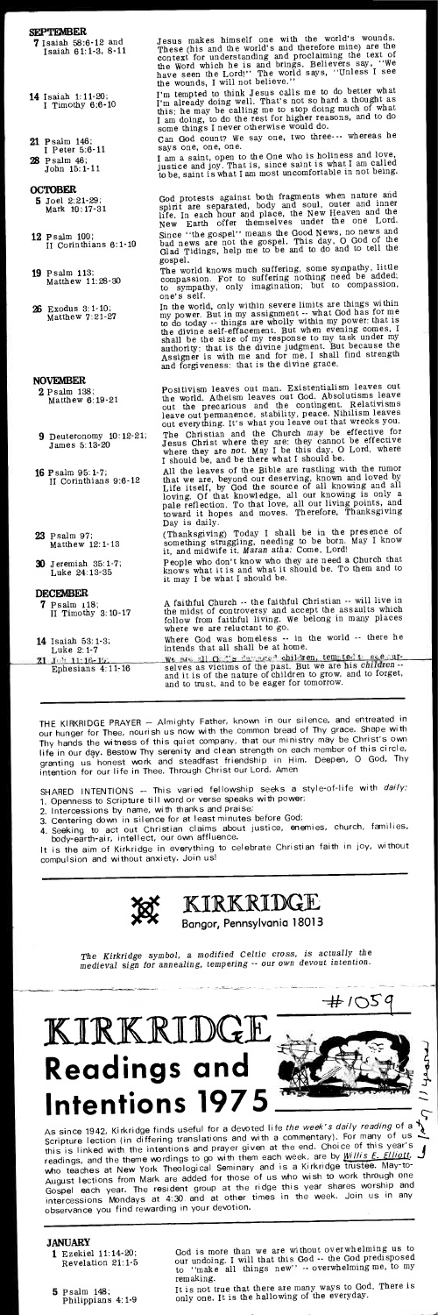**• .•**   $\Rightarrow$ 

**<sup>4</sup>0o,** 

 $\pm 105$ 

**g4174.** 

#### **SEPTEMBER**

- **7** Isaiah 58:6-12 and Isaiah 6 1:1-3, 8-11
- **14** Isaiah 1:11-20; I Timothy 6:6-10
- **21** Psalm 146; I Peter 5:6-11
- **28** Psalm 46;
- John 15:1-11

- **7** Psalm 118; II Timothy 3:10-17
- **14** Isaiah 53: 1-3; Luke 2:1-7
- $\frac{1}{2}$  11.16-19:<br>Ephesians 4:11-16 21

### **OCTOBER**

- **5** Joel 2:21-29; Mark 10:17-31
- **12** Psalm 100; II Corinthians 6:1-10
- **19** Psalm 113; Matthew 11:23-30
- **26** Exodus 3:1-10; Matthew 7:21-27

Jesus makes himself one with the world's wounds.<br>These (his and the world's and therefore mine) are the<br>context for understanding and proclaiming the text of<br>the Word which he is and brings. Believers say, "We<br>have seen th the wounds, I will not believe."

I'm tempted to think Jesus calls me to do better what I'm already doing well. That's not so hard a thought as this: he may be calling me to stop doing much of what I am doing, to do the rest for higher reasons, and to do some things I never otherwise would do.

#### **NOVEMBER**

- **2** Psalm 138; Matthew 6:19-21
- **9** Deuteronomy 10:12-21; James 5:13-20
- **16** Psalm 95:1-7; II Corinthians 9:6-12
- **23** Psalm 97; Matthew 12:1-13
- **30** Jeremiah 35:1-7; Luke 24:13-35

Can God count? We say one, two three--- whereas he says one, one, one.

#### **DECEMBER**

I am a saint, open to the One who is holiness and love, justice and joy. That is, since saint is what I am called to be, saint is what I am most uncomfortable in not being.

God protests against both fragments when nature and spirit are separated, body and soul, outer and inner life. In each hour and place, the New Heaven and the New Earth offer themselves under the one Lord. Since "the gospel" means the Good News, no news and bad news are not the gospel. This day, 0 God of the Glad Tidings, help me to be and to do and to tell the gospel.

h ren tern **stes S•** e r- Where God was homeless -- in the world -- there he intends that all shall be at home.

**f of the past.** But we are all  $G^2$  is denounced children, tent tent is children  $\cdot$  and it is of the nature of children to grow, and to forget, and to trust, and to be eager for tomorrow.

The world knows much suffering, some sympathy, little compassion. For to suffering nothing need be added; to sympathy, only imagination; but to compassion, one's self.

In the world, only within severe limits are things within<br>my power. But in my assignment -- what God has for me<br>to do today -- things are wholly within my power: that is<br>the divine self-effacement. But when evening comes, authority: that is the divine judgment. But because the Assigner is with me and for me, I shall find strength and forgiveness: that is the divine grace.

Positivism leaves out man. Existentialism leaves out the world. Atheism leaves out God. Absolutisms leave out the precarious and the contingent. Relativisms leave out permanence, stability, peace. Nihilism leaves out everything. It's what you leave out that wrecks you. The Christian and the Church *may* be effective for Jesus Christ where they axe: they cannot be effective where they are not. May I be this day, O Lord, where I should be, and be there what I should be.

All the leaves of the Bible are rustling with the rumor that we are, beyond our deserving, known and loved by Life itself, by God the source of all knowing and all loving. Of that knowledge, all our knowing is only a pale reflection. To that love, all our living points, and toward it hopes and moves. Therefore, Thanksgiving Day is daily.

(Thanksgiving) Today I shall be in the presence of something struggling, needing to be born. May I know it, and midwife it. Maran *atha:* Come, Lord!

People who don't know who they are need a Church that knows what it is and what it should be. To them and to it may I be what I should be.

A faithful Church -- the faithful Christian -- will live in the midst of controversy and accept the assaults which follow from faithful living. We belong in many places where we are reluctant to go.

THE KIRKRIDGE PRAYER — Almighty Father, known in our silence, and entreated in our hunger for Thee, nourish us now with the common bread of Thy grace. Shape with Thy hands the witness of this quiet company, that our ministry may be Christ's own life in our day. Bestow Thy serenity and clean strength on each member of this circle granting us honest work and steadfast friendship in Him. Deepen, 0 God, Thy intention for our life in Thee. Through Christ our Lord. Amen

SHARED INTENTIONS — This varied fellowship seeks a style-of-life with *dai/y:*  1. Openness to Scripture till word or verse speaks with power;

- 2. Intercessions by name, with thanks and praise;
- 
- 3. Centering down in silence for at least minutes before God; 4. Seeking to act out Christian claims about justice, enemies, church, families, body-earth-air, intellect, our own affluence.

It is the aim of Kirkridge in everything to celebrate Christian faith in joy, without compulsion and without anxiety. Join us!



## $KIRKRIDGE$

**Bangor, Pennsylvania 1801 3** 

*The Kirkridge symbol,* a *modified Celtic cross, is actually the medieval sign for annealing, tempering -- our own* devout *intention.* 

# **Intentions 197 KIRKRIDGE**<br>Readings and

As since 1942, Kirkridge finds useful for a devoted life *the week's dai/y reading* of a \ Scripture lection (in differing translations and with a commentary). For many of us this is linked with the intentions and prayer given at the end. Choice of this year's<br>unding a graphic theory wordings to go with them each week, are by  $Willis E. Elliott$ . this is linked with the interfionts and prayer given at the theory willis. E. Elliett, readings, and the theme wordings to go with them each week, are by *Willis.E. Elliett*, readings, and the them workings to go cominary and is a Kirkridge trustee. May to-<br>who teaches at New York Theological Seminary and is a Kirkridge trustee. May to-Mio teaches at New York mooregical commonly of us who wish to work through one August rections not make are dated by the ridge this year shares worship and intercessions Mondays at 4:30 and at other times in the week. Join us in any observance you find rewarding in your devotion.

#### **JANUARY**

- **1** Ezekiel 11:14-20; Revelation 21:1-5
- **5** Psalm 148; Philippians 4:1-9

God is more than we are without overwhelming us to our undoing. I will that this God -- the God predisposed to "make all things new" -- overwhelming me, to my remaking.

It is not true that there are many ways to God. There is only one. It is the hallowing of the everyday.